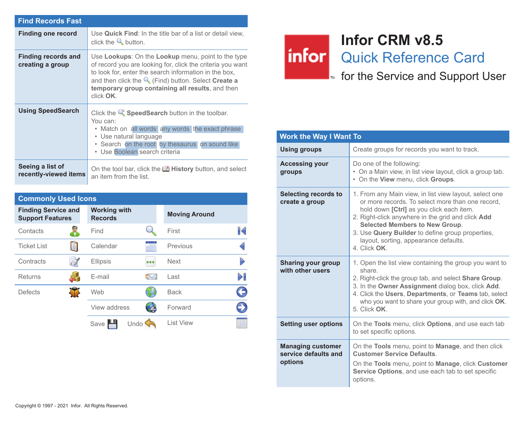| <b>Find Records Fast</b>                       |                                                                                                                                                                                                                                                                                                             |
|------------------------------------------------|-------------------------------------------------------------------------------------------------------------------------------------------------------------------------------------------------------------------------------------------------------------------------------------------------------------|
| <b>Finding one record</b>                      | Use Quick Find: In the title bar of a list or detail view.<br>click the $\mathbb Q$ button.                                                                                                                                                                                                                 |
| <b>Finding records and</b><br>creating a group | Use Lookups: On the Lookup menu, point to the type<br>of record you are looking for, click the criteria you want<br>to look for, enter the search information in the box,<br>and then click the $\mathbb Q$ (Find) button. Select Create a<br>temporary group containing all results, and then<br>click OK. |
| <b>Using SpeedSearch</b>                       | Click the $\mathbb Q$ Speed Search button in the toolbar.<br>You can:<br>• Match on all words any words the exact phrase<br>• Use natural language<br>. Search on the root by thesaurus on sound like<br>• Use Boolean search criteria                                                                      |
| Seeing a list of<br>recently-viewed items      | On the tool bar, click the <b>U History</b> button, and select<br>an item from the list.                                                                                                                                                                                                                    |

| <b>Commonly Used Icons</b>                            |      |                                       |  |                      |              |  |
|-------------------------------------------------------|------|---------------------------------------|--|----------------------|--------------|--|
| <b>Finding Service and</b><br><b>Support Features</b> |      | <b>Working with</b><br><b>Records</b> |  | <b>Moving Around</b> |              |  |
| Contacts                                              |      | Find                                  |  | First                | $\mathbb{R}$ |  |
| <b>Ticket List</b>                                    | iiii | Calendar                              |  | Previous             |              |  |
| Contracts                                             |      | <b>Ellipsis</b>                       |  | <b>Next</b>          |              |  |
| Returns                                               |      | E-mail                                |  | Last                 |              |  |
| <b>Defects</b>                                        |      | Web                                   |  | <b>Back</b>          |              |  |
|                                                       |      | View address                          |  | Forward              |              |  |
|                                                       |      | Undo<br>Save                          |  | <b>List View</b>     |              |  |

## **Infor CRM v8.5** infor Quick Reference Card

**F**<sub>n</sub> for the Service and Support User

| <b>Work the Way I Want To</b>                               |                                                                                                                                                                                                                                                                                                                                                                   |  |  |
|-------------------------------------------------------------|-------------------------------------------------------------------------------------------------------------------------------------------------------------------------------------------------------------------------------------------------------------------------------------------------------------------------------------------------------------------|--|--|
| <b>Using groups</b>                                         | Create groups for records you want to track.                                                                                                                                                                                                                                                                                                                      |  |  |
| <b>Accessing your</b><br>groups                             | Do one of the following:<br>• On a Main view, in list view layout, click a group tab.<br>. On the View menu, click Groups.                                                                                                                                                                                                                                        |  |  |
| Selecting records to<br>create a group                      | 1. From any Main view, in list view layout, select one<br>or more records. To select more than one record.<br>hold down [Ctrl] as you click each item.<br>2. Right-click anywhere in the grid and click Add<br><b>Selected Members to New Group.</b><br>3. Use Query Builder to define group properties,<br>layout, sorting, appearance defaults.<br>4. Click OK. |  |  |
| Sharing your group<br>with other users                      | 1. Open the list view containing the group you want to<br>share<br>2. Right-click the group tab, and select <b>Share Group</b> .<br>3. In the Owner Assignment dialog box, click Add.<br>4. Click the Users, Departments, or Teams tab, select<br>who you want to share your group with, and click OK.<br>5 Click OK                                              |  |  |
| <b>Setting user options</b>                                 | On the Tools menu, click Options, and use each tab<br>to set specific options.                                                                                                                                                                                                                                                                                    |  |  |
| <b>Managing customer</b><br>service defaults and<br>options | On the <b>Tools</b> menu, point to <b>Manage</b> , and then click<br><b>Customer Service Defaults</b><br>On the Tools menu, point to Manage, click Customer<br>Service Options, and use each tab to set specific<br>options.                                                                                                                                      |  |  |